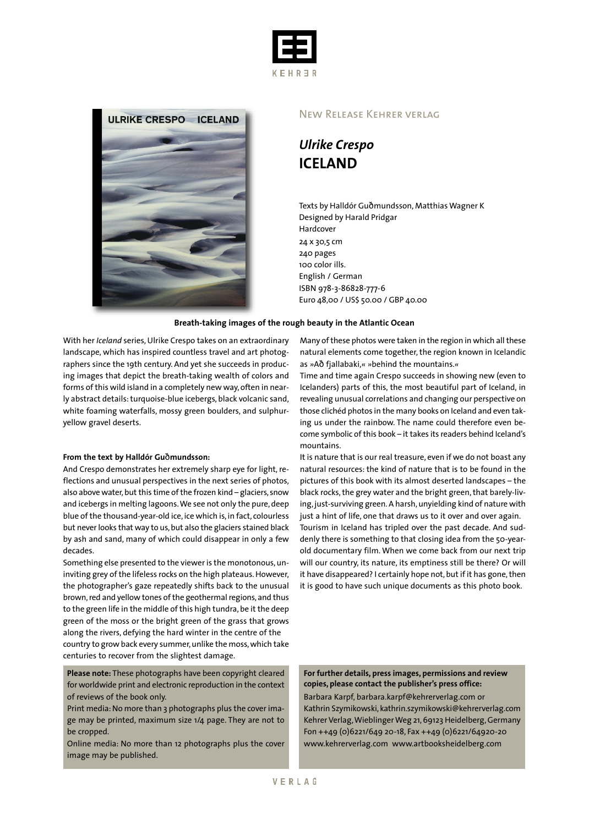



### New Release Kehrer verlag

*Ulrike Crespo* **ICELAND**

Texts by Halldór Guðmundsson, Matthias Wagner K Designed by Harald Pridgar Hardcover 24 x 30,5 cm 240 pages 100 color ills. English / German ISBN 978-3-86828-777-6 Euro 48,00 / US\$ 50.00 / GBP 40.00

#### **Breath-taking images of the rough beauty in the Atlantic Ocean**

With her *Iceland* series, Ulrike Crespo takes on an extraordinary landscape, which has inspired countless travel and art photographers since the 19th century. And yet she succeeds in producing images that depict the breath-taking wealth of colors and forms of this wild island in a completely new way, often in nearly abstract details: turquoise-blue icebergs, black volcanic sand, white foaming waterfalls, mossy green boulders, and sulphuryellow gravel deserts.

#### **From the text by Halldór Gu**ð**mundsson:**

And Crespo demonstrates her extremely sharp eye for light, reflections and unusual perspectives in the next series of photos, also above water, but this time of the frozen kind - glaciers, snow and icebergs in melting lagoons. We see not only the pure, deep blue of the thousand-year-old ice, ice which is, in fact, colourless but never looks that way to us, but also the glaciers stained black by ash and sand, many of which could disappear in only a few decades.

Something else presented to the viewer is the monotonous,uninviting grey of the lifeless rocks on the high plateaus.However, the photographer's gaze repeatedly shifts back to the unusual brown, red and yellow tones of the geothermal regions, and thus to the green life in the middle of this high tundra, be it the deep green of the moss or the bright green of the grass that grows along the rivers, defying the hard winter in the centre of the country to grow back every summer, unlike the moss, which take centuries to recover from the slightest damage.

**Please note:** These photographs have been copyright cleared for worldwide print and electronic reproduction in the context of reviews of the book only.

Print media:No more than 3 photographs plus the cover image may be printed, maximum size 1/4 page. They are not to be cropped.

Online media: No more than 12 photographs plus the cover image may be published.

Many of these photos were taken in the region in which all these natural elements come together, the region known in Icelandic as *»*Að fjallabaki,*« »*behind the mountains.*«*

Time and time again Crespo succeeds in showing new (even to Icelanders) parts of this, the most beautiful part of Iceland, in revealing unusual correlations and changing our perspective on those clichéd photos in the many books on Iceland and even taking us under the rainbow. The name could therefore even become symbolic of this book – it takes its readers behind Iceland's mountains.

It is nature that is our real treasure, even if we do not boast any natural resources: the kind of nature that is to be found in the pictures of this book with its almost deserted landscapes – the black rocks, the grey water and the bright green, that barely-living, just-surviving green. A harsh, unyielding kind of nature with just a hint of life, one that draws us to it over and over again. Tourism in Iceland has tripled over the past decade. And suddenly there is something to that closing idea from the 50-yearold documentary film. When we come back from our next trip will our country, its nature, its emptiness still be there? Or will it have disappeared? I certainly hope not, but if it has gone, then it is good to have such unique documents as this photo book.

**For further details, press images, permissions and review copies, please contact the publisher's press office:** Barbara Karpf, barbara.karpf@kehrerverlag.com or Kathrin Szymikowski, kathrin.szymikowski@kehrerverlag.com Kehrer Verlag, Wieblinger Weg 21, 69123 Heidelberg, Germany Fon ++49 (0)6221/649 20-18, Fax ++49 (0)6221/64920-20 www.kehrerverlag.com www.artbooksheidelberg.com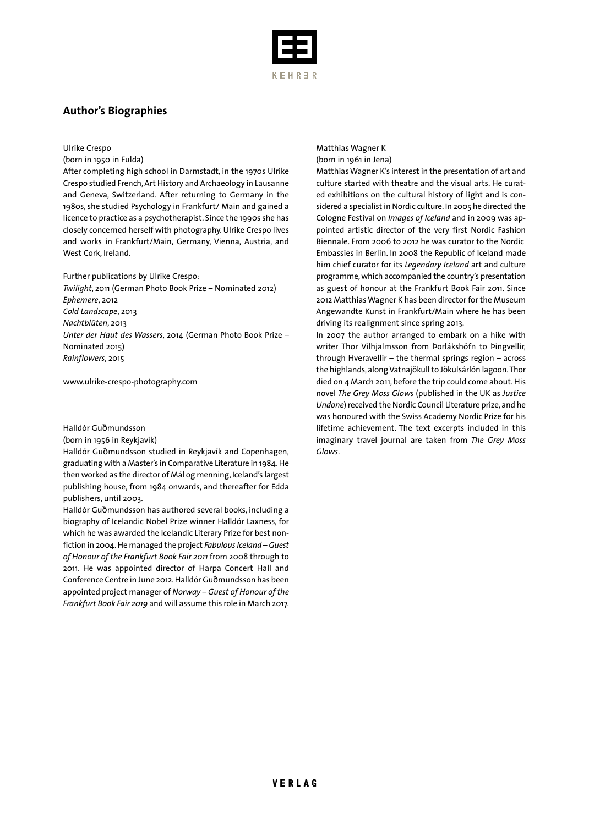

## **Author's Biographies**

#### Ulrike Crespo

#### (born in 1950 in Fulda)

After completing high school in Darmstadt, in the 1970s Ulrike Crespo studied French,Art History and Archaeology in Lausanne and Geneva, Switzerland. After returning to Germany in the 1980s, she studied Psychology in Frankfurt/ Main and gained a licence to practice as a psychotherapist. Since the 1990s she has closely concerned herself with photography. Ulrike Crespo lives and works in Frankfurt/Main, Germany, Vienna, Austria, and West Cork, Ireland.

#### Further publications by Ulrike Crespo:

*Twilight*, 2011 (German Photo Book Prize – Nominated 2012) *Ephemere*, 2012 *Cold Landscape*, 2013 *Nachtblüten*, 2013 *Unter der Haut des Wassers*, 2014 (German Photo Book Prize – Nominated 2015) *Rainflowers*, 2015

www.ulrike-crespo-photography.com

#### Halldór Guðmundsson

#### (born in 1956 in Reykjavík)

Halldór Guðmundsson studied in Reykjavík and Copenhagen, graduating with a Master's in Comparative Literature in 1984.He then worked as the director of Mál og menning, Iceland's largest publishing house, from 1984 onwards, and thereafter for Edda publishers, until 2003.

Halldór Guðmundsson has authored several books, including a biography of Icelandic Nobel Prize winner Halldór Laxness, for which he was awarded the Icelandic Literary Prize for best nonfiction in 2004. He managed the project *Fabulous Iceland* – Guest *of Honour of the Frankfurt Book Fair 2011* from 2008 through to 2011. He was appointed director of Harpa Concert Hall and Conference Centre in June 2012.Halldór Guðmundsson has been appointed project manager of *Norway – Guest of Honour of the Frankfurt Book Fair 2019* and will assume this role in March 2017.

#### Matthias Wagner K (born in 1961 in Jena)

Matthias Wagner K's interest in the presentation of art and culture started with theatre and the visual arts. He curated exhibitions on the cultural history of light and is considered a specialist in Nordic culture. In 2005 he directed the Cologne Festival on *Images of Iceland* and in 2009 was appointed artistic director of the very first Nordic Fashion Biennale. From 2006 to 2012 he was curator to the Nordic Embassies in Berlin. In 2008 the Republic of Iceland made him chief curator for its *Legendary Iceland* art and culture programme,which accompanied the country's presentation as guest of honour at the Frankfurt Book Fair 2011. Since 2012 Matthias Wagner K has been director for the Museum Angewandte Kunst in Frankfurt/Main where he has been driving its realignment since spring 2013.

In 2007 the author arranged to embark on a hike with writer Thor Vilhjalmsson from Þorlákshöfn to Þingvellir, through Hveravellir – the thermal springs region – across the highlands,alongVatnajökull to Jökulsárlón lagoon.Thor died on 4 March 2011, before the trip could come about. His novel *The Grey Moss Glows* (published in the UK as *Justice Undone*) received the Nordic Council Literature prize, and he was honoured with the Swiss Academy Nordic Prize for his lifetime achievement. The text excerpts included in this imaginary travel journal are taken from *The Grey Moss Glows*.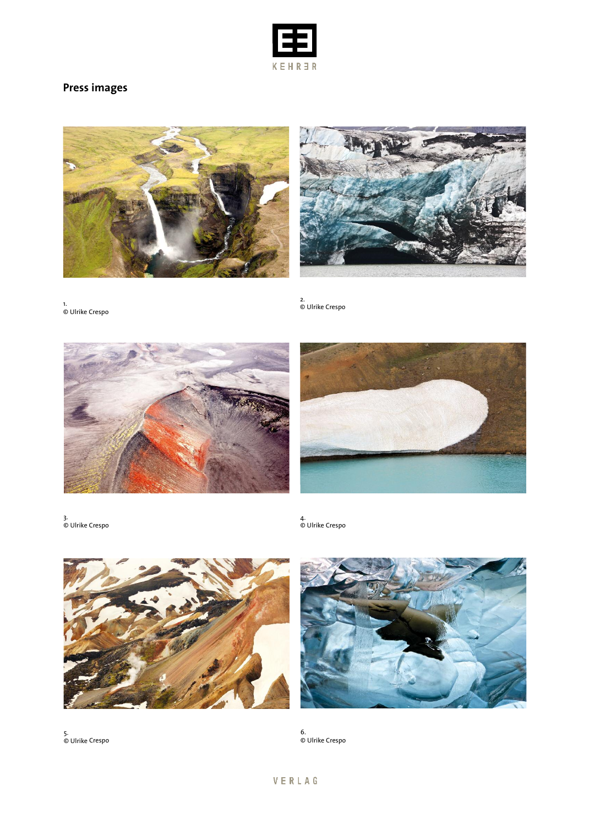

# **Press images**





1. © Ulrike Crespo

2. © Ulrike Crespo





3. © Ulrike Crespo

4. © Ulrike Crespo





5. © Ulrike Crespo

6. © Ulrike Crespo